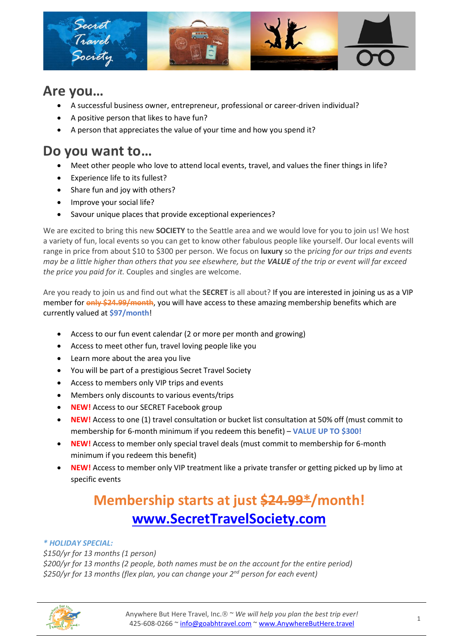

# **Are you…**

- A successful business owner, entrepreneur, professional or career-driven individual?
- A positive person that likes to have fun?
- A person that appreciates the value of your time and how you spend it?

# **Do you want to…**

- Meet other people who love to attend local events, travel, and values the finer things in life?
- Experience life to its fullest?
- Share fun and joy with others?
- Improve your social life?
- Savour unique places that provide exceptional experiences?

We are excited to bring this new **SOCIETY** to the Seattle area and we would love for you to join us! We host a variety of fun, local events so you can get to know other fabulous people like yourself. Our local events will range in price from about \$10 to \$300 per person. We focus on **luxury** so the p*ricing for our trips and events may be a little higher than others that you see elsewhere, but the VALUE of the trip or event will far exceed the price you paid for it.* Couples and singles are welcome.

Are you ready to join us and find out what the **SECRET** is all about? If you are interested in joining us as a VIP member for **only \$24.99/month**, you will have access to these amazing membership benefits which are currently valued at **\$97/month**!

- Access to our fun event calendar (2 or more per month and growing)
- Access to meet other fun, travel loving people like you
- Learn more about the area you live
- You will be part of a prestigious Secret Travel Society
- Access to members only VIP trips and events
- Members only discounts to various events/trips
- **NEW!** Access to our SECRET Facebook group
- **NEW!** Access to one (1) travel consultation or bucket list consultation at 50% off (must commit to membership for 6-month minimum if you redeem this benefit) – **VALUE UP TO \$300!**
- **NEW!** Access to member only special travel deals (must commit to membership for 6-month minimum if you redeem this benefit)
- **NEW!** Access to member only VIP treatment like a private transfer or getting picked up by limo at specific events

# **Membership starts at just \$24.99\*/month! [www.SecretTravelSociety.com](http://www.secrettravelsociety.com/)**

## *\* HOLIDAY SPECIAL:*

*\$150/yr for 13 months (1 person) \$200/yr for 13 months (2 people, both names must be on the account for the entire period) \$250/yr for 13 months (flex plan, you can change your 2nd person for each event)*

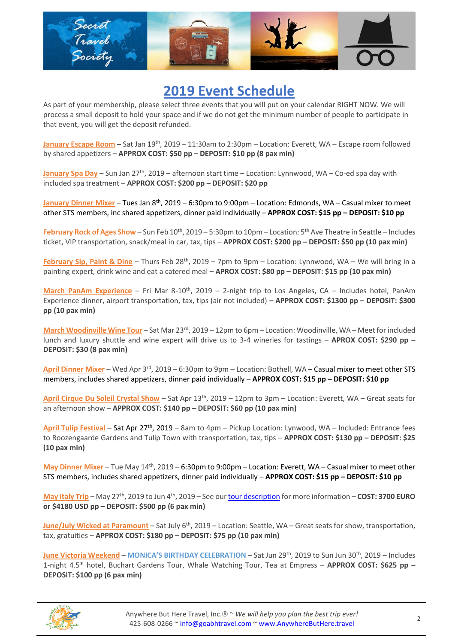

# **2019 Event Schedule**

As part of your membership, please select three events that you will put on your calendar RIGHT NOW. We will process a small deposit to hold your space and if we do not get the minimum number of people to participate in that event, you will get the deposit refunded.

**January Escape Room** – Sat Jan 19th, 2019 – 11:30am to 2:30pm – Location: Everett, WA – Escape room followed by shared appetizers – **APPROX COST: \$50 pp – DEPOSIT: \$10 pp (8 pax min)**

**January Spa Day** – Sun Jan 27<sup>th</sup>, 2019 – afternoon start time – Location: Lynnwood, WA – Co-ed spa day with included spa treatment – **APPROX COST: \$200 pp – DEPOSIT: \$20 pp**

**January Dinner Mixer** – Tues Jan 8th, 2019 – 6:30pm to 9:00pm – Location: Edmonds, WA – Casual mixer to meet other STS members, inc shared appetizers, dinner paid individually – **APPROX COST: \$15 pp – DEPOSIT: \$10 pp** 

February Rock of Ages Show - Sun Feb 10<sup>th</sup>, 2019 - 5:30pm to 10pm - Location: 5<sup>th</sup> Ave Theatre in Seattle - Includes ticket, VIP transportation, snack/meal in car, tax, tips – **APPROX COST: \$200 pp – DEPOSIT: \$50 pp (10 pax min)**

**February Sip, Paint & Dine** – Thurs Feb 28th, 2019 – 7pm to 9pm – Location: Lynnwood, WA – We will bring in a painting expert, drink wine and eat a catered meal – **APROX COST: \$80 pp – DEPOSIT: \$15 pp (10 pax min)**

**March PanAm Experience** – Fri Mar 8-10<sup>th</sup>, 2019 – 2-night trip to Los Angeles, CA – Includes hotel, PanAm Experience dinner, airport transportation, tax, tips (air not included) **– APPROX COST: \$1300 pp – DEPOSIT: \$300 pp (10 pax min)**

**March Woodinville Wine Tour** – Sat Mar 23rd, 2019 – 12pm to 6pm – Location: Woodinville, WA – Meet for included lunch and luxury shuttle and wine expert will drive us to 3-4 wineries for tastings – **APROX COST: \$290 pp – DEPOSIT: \$30 (8 pax min)**

**April Dinner Mixer** – Wed Apr 3rd, 2019 – 6:30pm to 9pm – Location: Bothell, WA – Casual mixer to meet other STS members, includes shared appetizers, dinner paid individually – **APPROX COST: \$15 pp – DEPOSIT: \$10 pp**

**April Cirque Du Soleil Crystal Show** – Sat Apr 13th, 2019 – 12pm to 3pm – Location: Everett, WA – Great seats for an afternoon show – **APPROX COST: \$140 pp – DEPOSIT: \$60 pp (10 pax min)**

**April Tulip Festival** – Sat Apr 27th, 2019 – 8am to 4pm – Pickup Location: Lynwood, WA – Included: Entrance fees to Roozengaarde Gardens and Tulip Town with transportation, tax, tips – **APPROX COST: \$130 pp – DEPOSIT: \$25 (10 pax min)**

**May Dinner Mixer** – Tue May 14th, 2019 – 6:30pm to 9:00pm – Location: Everett, WA – Casual mixer to meet other STS members, includes shared appetizers, dinner paid individually – **APPROX COST: \$15 pp – DEPOSIT: \$10 pp**

**May Italy Trip** – May 27<sup>th</sup>, 2019 to Jun 4<sup>th</sup>, 2019 – See ou[r tour description](http://www.anywherebuthere.travel/italy-with-andrea-king-travel/) for more information – COST: 3700 EURO **or \$4180 USD pp – DEPOSIT: \$500 pp (6 pax min)** 

**June/July Wicked at Paramount** – Sat July 6th, 2019 – Location: Seattle, WA – Great seats for show, transportation, tax, gratuities – **APPROX COST: \$180 pp – DEPOSIT: \$75 pp (10 pax min)**

**June Victoria Weekend** – **MONICA'S BIRTHDAY CELEBRATION** – Sat Jun 29th, 2019 to Sun Jun 30th, 2019 – Includes 1-night 4.5\* hotel, Buchart Gardens Tour, Whale Watching Tour, Tea at Empress – **APPROX COST: \$625 pp – DEPOSIT: \$100 pp (6 pax min)**

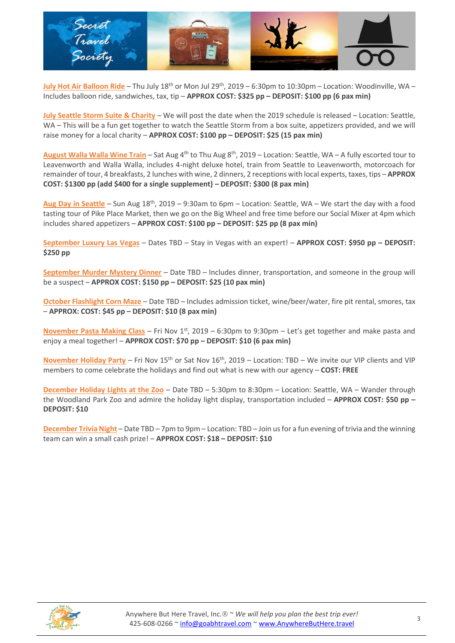

**July Hot Air Balloon Ride** – Thu July 18th or Mon Jul 29th, 2019 – 6:30pm to 10:30pm – Location: Woodinville, WA – Includes balloon ride, sandwiches, tax, tip – **APPROX COST: \$325 pp – DEPOSIT: \$100 pp (6 pax min)**

**July Seattle Storm Suite & Charity** – We will post the date when the 2019 schedule is released – Location: Seattle, WA – This will be a fun get together to watch the Seattle Storm from a box suite, appetizers provided, and we will raise money for a local charity – **APPROX COST: \$100 pp – DEPOSIT: \$25 (15 pax min)**

**August Walla Walla Wine Train** – Sat Aug 4<sup>th</sup> to Thu Aug 8<sup>th</sup>, 2019 – Location: Seattle, WA – A fully escorted tour to Leavenworth and Walla Walla, includes 4-night deluxe hotel, train from Seattle to Leavenworth, motorcoach for remainder of tour, 4 breakfasts, 2 lunches with wine, 2 dinners, 2 receptions with local experts, taxes, tips – **APPROX COST: \$1300 pp (add \$400 for a single supplement) – DEPOSIT: \$300 (8 pax min)**

**Aug Day in Seattle** – Sun Aug 18th, 2019 – 9:30am to 6pm – Location: Seattle, WA – We start the day with a food tasting tour of Pike Place Market, then we go on the Big Wheel and free time before our Social Mixer at 4pm which includes shared appetizers – **APPROX COST: \$100 pp – DEPOSIT: \$25 pp (8 pax min)**

**September Luxury Las Vegas** – Dates TBD – Stay in Vegas with an expert! – **APPROX COST: \$950 pp – DEPOSIT: \$250 pp**

**September Murder Mystery Dinner** – Date TBD – Includes dinner, transportation, and someone in the group will be a suspect – **APPROX COST: \$150 pp – DEPOSIT: \$25 (10 pax min)**

**October Flashlight Corn Maze** – Date TBD – Includes admission ticket, wine/beer/water, fire pit rental, smores, tax – **APPROX: COST: \$45 pp – DEPOSIT: \$10 (8 pax min)**

**November Pasta Making Class** – Fri Nov 1<sup>st</sup>, 2019 – 6:30pm to 9:30pm – Let's get together and make pasta and enjoy a meal together! – **APPROX COST: \$70 pp – DEPOSIT: \$10 (6 pax min)**

**November Holiday Party** – Fri Nov 15<sup>th</sup> or Sat Nov 16<sup>th</sup>, 2019 – Location: TBD – We invite our VIP clients and VIP members to come celebrate the holidays and find out what is new with our agency – **COST: FREE**

**December Holiday Lights at the Zoo** – Date TBD – 5:30pm to 8:30pm – Location: Seattle, WA – Wander through the Woodland Park Zoo and admire the holiday light display, transportation included – **APPROX COST: \$50 pp – DEPOSIT: \$10**

**December Trivia Night** – Date TBD – 7pm to 9pm – Location: TBD – Join us for a fun evening of trivia and the winning team can win a small cash prize! – **APPROX COST: \$18 – DEPOSIT: \$10**